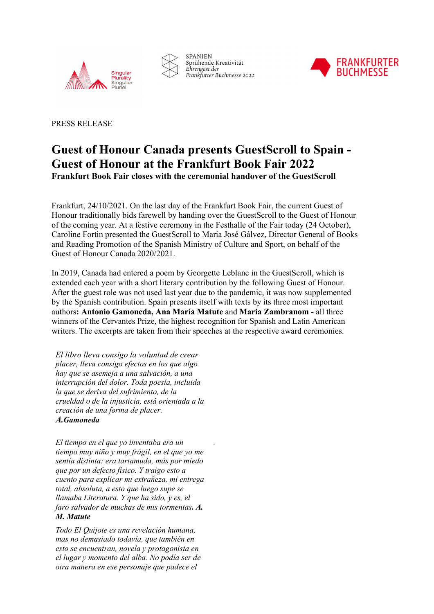



**SPANIEN** Sprühende Kreativität Ehrengast der Frankfurter Buchmesse 2022



PRESS RELEASE

## Guest of Honour Canada presents GuestScroll to Spain - Guest of Honour at the Frankfurt Book Fair 2022 Frankfurt Book Fair closes with the ceremonial handover of the GuestScroll

Frankfurt, 24/10/2021. On the last day of the Frankfurt Book Fair, the current Guest of Honour traditionally bids farewell by handing over the GuestScroll to the Guest of Honour of the coming year. At a festive ceremony in the Festhalle of the Fair today (24 October), Caroline Fortin presented the GuestScroll to Maria José Gálvez, Director General of Books and Reading Promotion of the Spanish Ministry of Culture and Sport, on behalf of the Guest of Honour Canada 2020/2021.

In 2019, Canada had entered a poem by Georgette Leblanc in the GuestScroll, which is extended each year with a short literary contribution by the following Guest of Honour. After the guest role was not used last year due to the pandemic, it was now supplemented by the Spanish contribution. Spain presents itself with texts by its three most important authors: Antonio Gamoneda, Ana María Matute and Maria Zambranom - all three winners of the Cervantes Prize, the highest recognition for Spanish and Latin American writers. The excerpts are taken from their speeches at the respective award ceremonies.

.

El libro lleva consigo la voluntad de crear placer, lleva consigo efectos en los que algo hay que se asemeja a una salvación, a una interrupción del dolor. Toda poesía, incluida la que se deriva del sufrimiento, de la crueldad o de la injusticia, está orientada a la creación de una forma de placer. A.Gamoneda

El tiempo en el que yo inventaba era un tiempo muy niño y muy frágil, en el que yo me sentía distinta: era tartamuda, más por miedo que por un defecto físico. Y traigo esto a cuento para explicar mi extrañeza, mi entrega total, absoluta, a esto que luego supe se llamaba Literatura. Y que ha sido, y es, el faro salvador de muchas de mis tormentas. A. M. Matute

Todo El Quijote es una revelación humana, mas no demasiado todavía, que también en esto se encuentran, novela y protagonista en el lugar y momento del alba. No podía ser de otra manera en ese personaje que padece el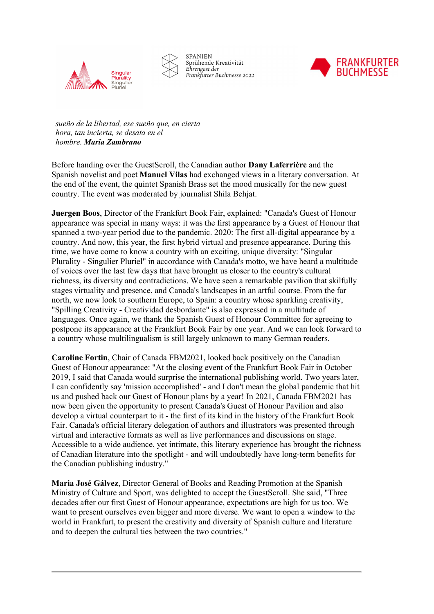



**SPANIEN** Sprühende Kreativität Ehrengast der Frankfurter Buchmesse 2022



sueño de la libertad, ese sueño que, en cierta hora, tan incierta, se desata en el hombre. Maria Zambrano

Before handing over the GuestScroll, the Canadian author Dany Laferrière and the Spanish novelist and poet Manuel Vilas had exchanged views in a literary conversation. At the end of the event, the quintet Spanish Brass set the mood musically for the new guest country. The event was moderated by journalist Shila Behjat.

Juergen Boos, Director of the Frankfurt Book Fair, explained: "Canada's Guest of Honour appearance was special in many ways: it was the first appearance by a Guest of Honour that spanned a two-year period due to the pandemic. 2020: The first all-digital appearance by a country. And now, this year, the first hybrid virtual and presence appearance. During this time, we have come to know a country with an exciting, unique diversity: "Singular Plurality - Singulier Pluriel" in accordance with Canada's motto, we have heard a multitude of voices over the last few days that have brought us closer to the country's cultural richness, its diversity and contradictions. We have seen a remarkable pavilion that skilfully stages virtuality and presence, and Canada's landscapes in an artful course. From the far north, we now look to southern Europe, to Spain: a country whose sparkling creativity, "Spilling Creativity - Creatividad desbordante" is also expressed in a multitude of languages. Once again, we thank the Spanish Guest of Honour Committee for agreeing to postpone its appearance at the Frankfurt Book Fair by one year. And we can look forward to a country whose multilingualism is still largely unknown to many German readers.

Caroline Fortin, Chair of Canada FBM2021, looked back positively on the Canadian Guest of Honour appearance: "At the closing event of the Frankfurt Book Fair in October 2019, I said that Canada would surprise the international publishing world. Two years later, I can confidently say 'mission accomplished' - and I don't mean the global pandemic that hit us and pushed back our Guest of Honour plans by a year! In 2021, Canada FBM2021 has now been given the opportunity to present Canada's Guest of Honour Pavilion and also develop a virtual counterpart to it - the first of its kind in the history of the Frankfurt Book Fair. Canada's official literary delegation of authors and illustrators was presented through virtual and interactive formats as well as live performances and discussions on stage. Accessible to a wide audience, yet intimate, this literary experience has brought the richness of Canadian literature into the spotlight - and will undoubtedly have long-term benefits for the Canadian publishing industry."

Maria José Gálvez, Director General of Books and Reading Promotion at the Spanish Ministry of Culture and Sport, was delighted to accept the GuestScroll. She said, "Three decades after our first Guest of Honour appearance, expectations are high for us too. We want to present ourselves even bigger and more diverse. We want to open a window to the world in Frankfurt, to present the creativity and diversity of Spanish culture and literature and to deepen the cultural ties between the two countries."